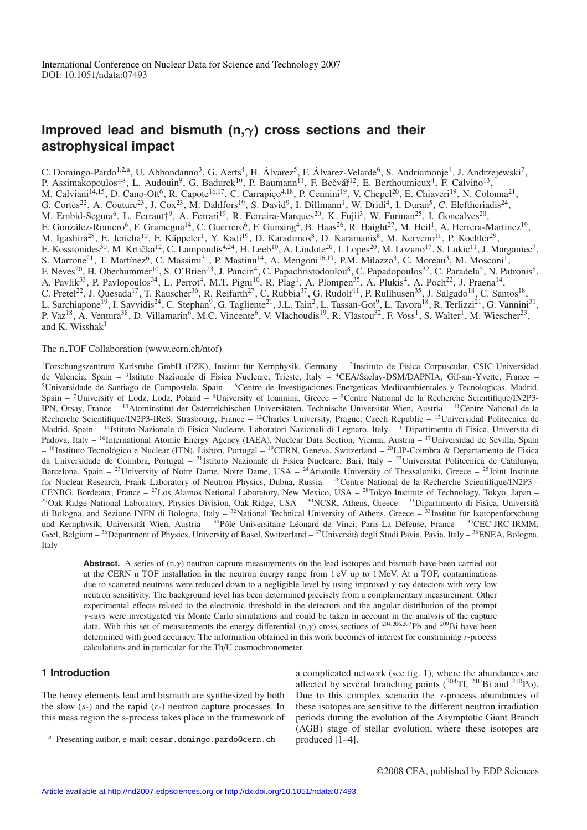# **Improved lead and bismuth (n,**γ**) cross sections and their astrophysical impact**

C. Domingo-Pardo<sup>1,2,a</sup>, U. Abbondanno<sup>3</sup>, G. Aerts<sup>4</sup>, H. Álvarez<sup>5</sup>, F. Álvarez-Velarde<sup>6</sup>, S. Andriamonje<sup>4</sup>, J. Andrzejewski<sup>7</sup>, P. Assimakopoulos†<sup>8</sup>, L. Audouin<sup>9</sup>, G. Badurek<sup>10</sup>, P. Baumann<sup>11</sup>, F. Bečvář<sup>12</sup>, E. Berthoumieux<sup>4</sup>, F. Calviño<sup>13</sup>, M. Calviani<sup>14,15</sup>, D. Cano-Ott<sup>6</sup>, R. Capote<sup>16,17</sup>, C. Carrapiço<sup>4,18</sup>, P. Cennini<sup>19</sup>, V. Chepel<sup>20</sup>, E. Chiaveri<sup>19</sup>, N. Colonna<sup>21</sup>, G. Cortes<sup>22</sup>, A. Couture<sup>23</sup>, J. Cox<sup>23</sup>, M. Dahlfors<sup>19</sup>, S. David<sup>9</sup>, I. Dillmann<sup>1</sup>, W. Dridi<sup>4</sup>, I. Duran<sup>5</sup>, C. Eleftheriadis<sup>24</sup>, M. Embid-Segura<sup>6</sup>, L. Ferrant<sup>+9</sup>, A. Ferrari<sup>19</sup>, R. Ferreira-Marques<sup>20</sup>, K. Fujii<sup>3</sup>, W. Furman<sup>25</sup>, I. Goncalves<sup>20</sup>, E. González-Romero<sup>6</sup>, F. Gramegna<sup>14</sup>, C. Guerrero<sup>6</sup>, F. Gunsing<sup>4</sup>, B. Haas<sup>26</sup>, R. Haight<sup>27</sup>, M. Heil<sup>1</sup>, A. Herrera-Martinez<sup>19</sup>, M. Igashira<sup>28</sup>, E. Jericha<sup>10</sup>, F. Käppeler<sup>1</sup>, Y. Kadi<sup>19</sup>, D. Karadimos<sup>8</sup>, D. Karamanis<sup>8</sup>, M. Kerveno<sup>11</sup>, P. Koehler<sup>29</sup>, E. Kossionides<sup>30</sup>, M. Krtička<sup>12</sup>, C. Lampoudis<sup>4,24</sup>, H. Leeb<sup>10</sup>, A. Lindote<sup>20</sup>, I. Lopes<sup>20</sup>, M. Lozano<sup>17</sup>, S. Lukic<sup>11</sup>, J. Marganiec<sup>7</sup>, S. Marrone<sup>21</sup>, T. Martínez<sup>6</sup>, C. Massimi<sup>31</sup>, P. Mastinu<sup>14</sup>, A. Mengoni<sup>16,19</sup>, P.M. Milazzo<sup>3</sup>, C. Moreau<sup>3</sup>, M. Mosconi<sup>1</sup>, F. Neves<sup>20</sup>, H. Oberhummer<sup>10</sup>, S. O'Brien<sup>23</sup>, J. Pancin<sup>4</sup>, C. Papachristodoulou<sup>8</sup>, C. Papadopoulos<sup>32</sup>, C. Paradela<sup>5</sup>, N. Patronis<sup>8</sup>, A. Pavlik<sup>33</sup>, P. Pavlopoulos<sup>34</sup>, L. Perrot<sup>4</sup>, M.T. Pigni<sup>10</sup>, R. Plag<sup>1</sup>, A. Plompen<sup>35</sup>, A. Plukis<sup>4</sup>, A. Poch<sup>22</sup>, J. Praena<sup>14</sup>, C. Pretel<sup>22</sup>, J. Quesada<sup>17</sup>, T. Rauscher<sup>36</sup>, R. Reifarth<sup>27</sup>, C. Rubbia<sup>37</sup>, G. Rudolf<sup>11</sup>, P. Rullhusen<sup>35</sup>, J. Salgado<sup>18</sup>, C. Santos<sup>18</sup>, L. Sarchiapone<sup>19</sup>, I. Savvidis<sup>24</sup>, C. Stephan<sup>9</sup>, G. Tagliente<sup>21</sup>, J.L. Tain<sup>2</sup>, L. Tassan-Got<sup>9</sup>, L. Tavora<sup>18</sup>, R. Terlizzi<sup>21</sup>, G. Vannini<sup>31</sup>, P. Vaz<sup>18</sup>, A. Ventura<sup>38</sup>, D. Villamarin<sup>6</sup>, M.C. Vincente<sup>6</sup>, V. Vlachoudis<sup>19</sup>, R. Vlastou<sup>32</sup>, F. Voss<sup>1</sup>, S. Walter<sup>1</sup>, M. Wiescher<sup>23</sup>, and K. Wisshak $1$ 

## The n\_TOF Collaboration (www.cern.ch/ntof)

<sup>1</sup>Forschungszentrum Karlsruhe GmbH (FZK), Institut für Kernphysik, Germany – <sup>2</sup>Instituto de Física Corpuscular, CSIC-Universidad de Valencia, Spain – 3Istituto Nazionale di Fisica Nucleare, Trieste, Italy – 4CEA/Saclay-DSM/DAPNIA, Gif-sur-Yvette, France – 5Universidade de Santiago de Compostela, Spain – 6Centro de Investigaciones Energeticas Medioambientales y Tecnologicas, Madrid, Spain – 7University of Lodz, Lodz, Poland – 8University of Ioannina, Greece – 9Centre National de la Recherche Scientifique/IN2P3- IPN, Orsay, France – <sup>10</sup>Atominstitut der Österreichischen Universitäten, Technische Universität Wien, Austria – <sup>11</sup>Centre National de la Recherche Scientifique/IN2P3-IReS, Strasbourg, France – 12Charles University, Prague, Czech Republic – 13Universidad Politecnica de Madrid, Spain – <sup>14</sup>Istituto Nazionale di Fisica Nucleare, Laboratori Nazionali di Legnaro, Italy – <sup>15</sup>Dipartimento di Fisica, Università di Padova, Italy – <sup>16</sup>International Atomic Energy Agency (IAEA), Nuclear Data Section, Vienna, Austria – <sup>17</sup>Universidad de Sevilla, Spain  $-$ <sup>18</sup>Instituto Tecnológico e Nuclear (ITN), Lisbon, Portugal – <sup>19</sup>CERN, Geneva, Switzerland – <sup>20</sup>LIP-Coimbra & Departamento de Fisica da Universidade de Coimbra, Portugal – 21Istituto Nazionale di Fisica Nucleare, Bari, Italy – 22Universitat Politecnica de Catalunya, Barcelona, Spain – <sup>23</sup>University of Notre Dame, Notre Dame, USA – <sup>24</sup>Aristotle University of Thessaloniki, Greece – <sup>25</sup>Joint Institute for Nuclear Research, Frank Laboratory of Neutron Physics, Dubna, Russia – 26Centre National de la Recherche Scientifique/IN2P3 - CENBG, Bordeaux, France – 27Los Alamos National Laboratory, New Mexico, USA – 28Tokyo Institute of Technology, Tokyo, Japan – <sup>29</sup>Oak Ridge National Laboratory, Physics Division, Oak Ridge, USA –  ${}^{30}$ NCSR, Athens, Greece –  ${}^{31}$ Dipartimento di Fisica, Università di Bologna, and Sezione INFN di Bologna, Italy –  $32$ National Technical University of Athens, Greece –  $33$ Institut für Isotopenforschung und Kernphysik, Universität Wien, Austria –  $^{34}P_0$ le Universitaire Léonard de Vinci, Paris-La Défense, France –  $^{35}$ CEC-JRC-IRMM, Geel, Belgium –  $36$ Department of Physics, University of Basel, Switzerland –  $37$ Università degli Studi Pavia, Pavia, Italy –  $38$ ENEA, Bologna, Italy

**Abstract.** A series of  $(n, \gamma)$  neutron capture measurements on the lead isotopes and bismuth have been carried out at the CERN n TOF installation in the neutron energy range from 1 eV up to 1 MeV. At n TOF, contaminations due to scattered neutrons were reduced down to a negligible level by using improved γ-ray detectors with very low neutron sensitivity. The background level has been determined precisely from a complementary measurement. Other experimental effects related to the electronic threshold in the detectors and the angular distribution of the prompt γ-rays were investigated via Monte Carlo simulations and could be taken in account in the analysis of the capture data. With this set of measurements the energy differential (n,γ) cross sections of <sup>204</sup>,206,207Pb and 209Bi have been determined with good accuracy. The information obtained in this work becomes of interest for constraining *r*-process calculations and in particular for the Th/U cosmochronometer.

# **1 Introduction**

The heavy elements lead and bismuth are synthesized by both the slow (*s*-) and the rapid (*r*-) neutron capture processes. In this mass region the s-process takes place in the framework of a complicated network (see fig. 1), where the abundances are affected by several branching points (204Tl, 210Bi and 210Po). Due to this complex scenario the *s*-process abundances of these isotopes are sensitive to the different neutron irradiation periods during the evolution of the Asymptotic Giant Branch (AGB) stage of stellar evolution, where these isotopes are produced [1–4].

*<sup>a</sup>* Presenting author, e-mail: cesar.domingo.pardo@cern.ch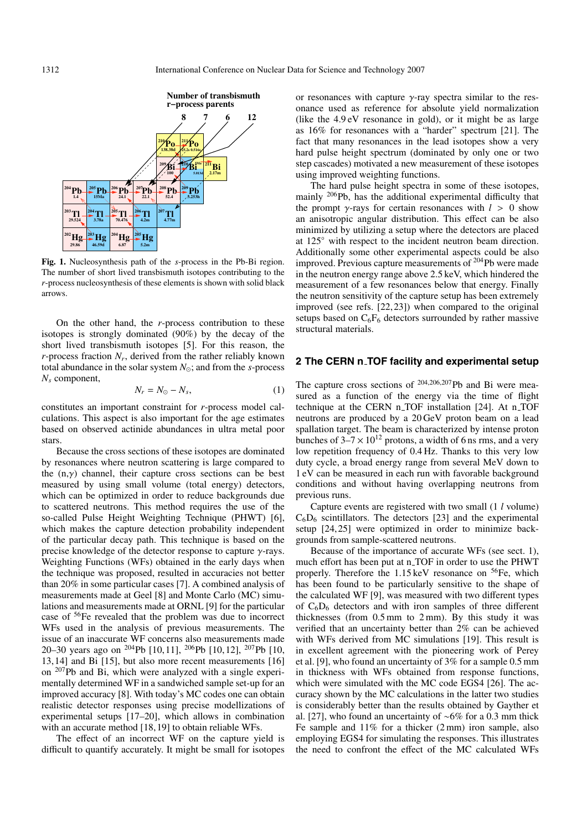

**Fig. 1.** Nucleosynthesis path of the *s*-process in the Pb-Bi region. The number of short lived transbismuth isotopes contributing to the *r*-process nucleosynthesis of these elements is shown with solid black arrows.

On the other hand, the *r*-process contribution to these isotopes is strongly dominated (90%) by the decay of the short lived transbismuth isotopes [5]. For this reason, the *r*-process fraction  $N_r$ , derived from the rather reliably known total abundance in the solar system  $N_{\odot}$ ; and from the *s*-process *Ns* component,

$$
N_r = N_{\odot} - N_s, \tag{1}
$$

constitutes an important constraint for *r*-process model calculations. This aspect is also important for the age estimates based on observed actinide abundances in ultra metal poor stars.

Because the cross sections of these isotopes are dominated by resonances where neutron scattering is large compared to the  $(n,y)$  channel, their capture cross sections can be best measured by using small volume (total energy) detectors, which can be optimized in order to reduce backgrounds due to scattered neutrons. This method requires the use of the so-called Pulse Height Weighting Technique (PHWT) [6], which makes the capture detection probability independent of the particular decay path. This technique is based on the precise knowledge of the detector response to capture  $\gamma$ -rays. Weighting Functions (WFs) obtained in the early days when the technique was proposed, resulted in accuracies not better than 20% in some particular cases [7]. A combined analysis of measurements made at Geel [8] and Monte Carlo (MC) simulations and measurements made at ORNL [9] for the particular case of 56Fe revealed that the problem was due to incorrect WFs used in the analysis of previous measurements. The issue of an inaccurate WF concerns also measurements made 20–30 years ago on <sup>204</sup>Pb [10, 11], <sup>206</sup>Pb [10, 12], <sup>207</sup>Pb [10, 13, 14] and Bi [15], but also more recent measurements [16] on 207Pb and Bi, which were analyzed with a single experimentally determined WF in a sandwiched sample set-up for an improved accuracy [8]. With today's MC codes one can obtain realistic detector responses using precise modellizations of experimental setups [17–20], which allows in combination with an accurate method [18, 19] to obtain reliable WFs.

The effect of an incorrect WF on the capture yield is difficult to quantify accurately. It might be small for isotopes or resonances with capture  $\gamma$ -ray spectra similar to the resonance used as reference for absolute yield normalization (like the 4.9 eV resonance in gold), or it might be as large as 16% for resonances with a "harder" spectrum [21]. The fact that many resonances in the lead isotopes show a very hard pulse height spectrum (dominated by only one or two step cascades) motivated a new measurement of these isotopes using improved weighting functions.

The hard pulse height spectra in some of these isotopes, mainly 206Pb, has the additional experimental difficulty that the prompt  $\gamma$ -rays for certain resonances with  $l > 0$  show an anisotropic angular distribution. This effect can be also minimized by utilizing a setup where the detectors are placed at 125◦ with respect to the incident neutron beam direction. Additionally some other experimental aspects could be also improved. Previous capture measurements of 204Pb were made in the neutron energy range above 2.5 keV, which hindered the measurement of a few resonances below that energy. Finally the neutron sensitivity of the capture setup has been extremely improved (see refs. [22, 23]) when compared to the original setups based on  $C_6F_6$  detectors surrounded by rather massive structural materials.

# **2 The CERN n TOF facility and experimental setup**

The capture cross sections of  $204,206,207$  Pb and Bi were measured as a function of the energy via the time of flight technique at the CERN n\_TOF installation [24]. At n\_TOF neutrons are produced by a 20 GeV proton beam on a lead spallation target. The beam is characterized by intense proton bunches of  $3-7 \times 10^{12}$  protons, a width of 6 ns rms, and a very low repetition frequency of 0.4 Hz. Thanks to this very low duty cycle, a broad energy range from several MeV down to 1 eV can be measured in each run with favorable background conditions and without having overlapping neutrons from previous runs.

Capture events are registered with two small (1 *l* volume)  $C_6D_6$  scintillators. The detectors [23] and the experimental setup [24, 25] were optimized in order to minimize backgrounds from sample-scattered neutrons.

Because of the importance of accurate WFs (see sect. 1), much effort has been put at n<sub>-TOF</sub> in order to use the PHWT properly. Therefore the 1.15 keV resonance on <sup>56</sup>Fe, which has been found to be particularly sensitive to the shape of the calculated WF [9], was measured with two different types of  $C_6D_6$  detectors and with iron samples of three different thicknesses (from 0.5 mm to 2 mm). By this study it was verified that an uncertainty better than 2% can be achieved with WFs derived from MC simulations [19]. This result is in excellent agreement with the pioneering work of Perey et al. [9], who found an uncertainty of 3% for a sample 0.5 mm in thickness with WFs obtained from response functions, which were simulated with the MC code EGS4 [26]. The accuracy shown by the MC calculations in the latter two studies is considerably better than the results obtained by Gayther et al. [27], who found an uncertainty of ∼6% for a 0.3 mm thick Fe sample and 11% for a thicker (2 mm) iron sample, also employing EGS4 for simulating the responses. This illustrates the need to confront the effect of the MC calculated WFs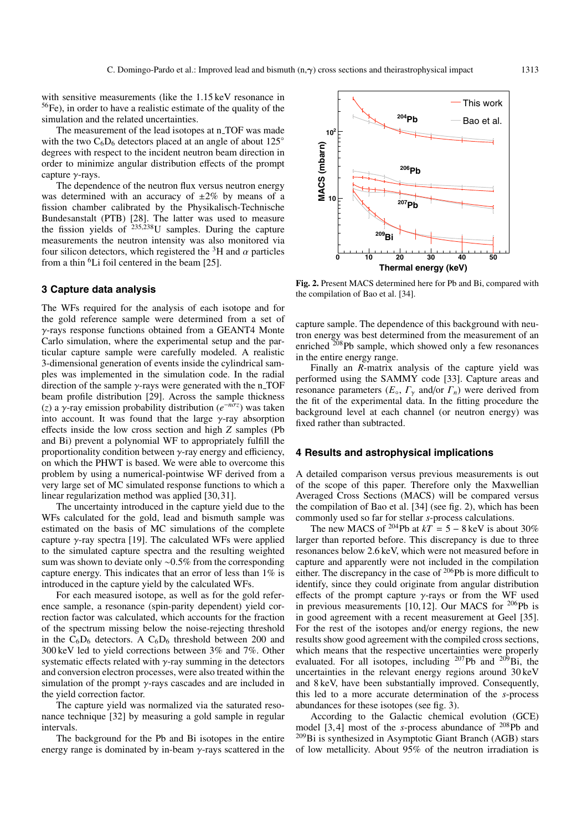with sensitive measurements (like the 1.15 keV resonance in 56Fe), in order to have a realistic estimate of the quality of the simulation and the related uncertainties.

The measurement of the lead isotopes at n\_TOF was made with the two  $C_6D_6$  detectors placed at an angle of about 125 $\degree$ degrees with respect to the incident neutron beam direction in order to minimize angular distribution effects of the prompt capture γ-rays.

The dependence of the neutron flux versus neutron energy was determined with an accuracy of  $\pm 2\%$  by means of a fission chamber calibrated by the Physikalisch-Technische Bundesanstalt (PTB) [28]. The latter was used to measure the fission yields of  $^{235,238}$ U samples. During the capture measurements the neutron intensity was also monitored via four silicon detectors, which registered the  ${}^{3}$ H and  $\alpha$  particles from a thin  ${}^{6}$ Li foil centered in the beam [25].

#### **3 Capture data analysis**

The WFs required for the analysis of each isotope and for the gold reference sample were determined from a set of γ-rays response functions obtained from a GEANT4 Monte Carlo simulation, where the experimental setup and the particular capture sample were carefully modeled. A realistic 3-dimensional generation of events inside the cylindrical samples was implemented in the simulation code. In the radial direction of the sample  $\gamma$ -rays were generated with the n\_TOF beam profile distribution [29]. Across the sample thickness (*z*) a γ-ray emission probability distribution (*e*−*n*σ*<sup>z</sup>* ) was taken into account. It was found that the large  $\gamma$ -ray absorption effects inside the low cross section and high *Z* samples (Pb and Bi) prevent a polynomial WF to appropriately fulfill the proportionality condition between  $\gamma$ -ray energy and efficiency, on which the PHWT is based. We were able to overcome this problem by using a numerical-pointwise WF derived from a very large set of MC simulated response functions to which a linear regularization method was applied [30, 31].

The uncertainty introduced in the capture yield due to the WFs calculated for the gold, lead and bismuth sample was estimated on the basis of MC simulations of the complete capture  $\gamma$ -ray spectra [19]. The calculated WFs were applied to the simulated capture spectra and the resulting weighted sum was shown to deviate only ∼0.5% from the corresponding capture energy. This indicates that an error of less than 1% is introduced in the capture yield by the calculated WFs.

For each measured isotope, as well as for the gold reference sample, a resonance (spin-parity dependent) yield correction factor was calculated, which accounts for the fraction of the spectrum missing below the noise-rejecting threshold in the  $C_6D_6$  detectors. A  $C_6D_6$  threshold between 200 and 300 keV led to yield corrections between 3% and 7%. Other systematic effects related with  $\gamma$ -ray summing in the detectors and conversion electron processes, were also treated within the simulation of the prompt  $\gamma$ -rays cascades and are included in the yield correction factor.

The capture yield was normalized via the saturated resonance technique [32] by measuring a gold sample in regular intervals.

The background for the Pb and Bi isotopes in the entire energy range is dominated by in-beam  $\gamma$ -rays scattered in the



**Fig. 2.** Present MACS determined here for Pb and Bi, compared with the compilation of Bao et al. [34].

capture sample. The dependence of this background with neutron energy was best determined from the measurement of an enriched  $208Pb$  sample, which showed only a few resonances in the entire energy range.

Finally an *R*-matrix analysis of the capture yield was performed using the SAMMY code [33]. Capture areas and resonance parameters  $(E_0, \Gamma_\gamma \text{ and/or } \Gamma_n)$  were derived from the fit of the experimental data. In the fitting procedure the background level at each channel (or neutron energy) was fixed rather than subtracted.

#### **4 Results and astrophysical implications**

A detailed comparison versus previous measurements is out of the scope of this paper. Therefore only the Maxwellian Averaged Cross Sections (MACS) will be compared versus the compilation of Bao et al. [34] (see fig. 2), which has been commonly used so far for stellar *s*-process calculations.

The new MACS of <sup>204</sup>Pb at  $kT = 5 - 8 \text{ keV}$  is about 30% larger than reported before. This discrepancy is due to three resonances below 2.6 keV, which were not measured before in capture and apparently were not included in the compilation either. The discrepancy in the case of 206Pb is more difficult to identify, since they could originate from angular distribution effects of the prompt capture  $\gamma$ -rays or from the WF used in previous measurements [10, 12]. Our MACS for 206Pb is in good agreement with a recent measurement at Geel [35]. For the rest of the isotopes and/or energy regions, the new results show good agreement with the compiled cross sections, which means that the respective uncertainties were properly evaluated. For all isotopes, including <sup>207</sup>Pb and <sup>209</sup>Bi, the uncertainties in the relevant energy regions around 30 keV and 8 keV, have been substantially improved. Consequently, this led to a more accurate determination of the *s*-process abundances for these isotopes (see fig. 3).

According to the Galactic chemical evolution (GCE) model [3, 4] most of the *s*-process abundance of 208Pb and 209Bi is synthesized in Asymptotic Giant Branch (AGB) stars of low metallicity. About 95% of the neutron irradiation is